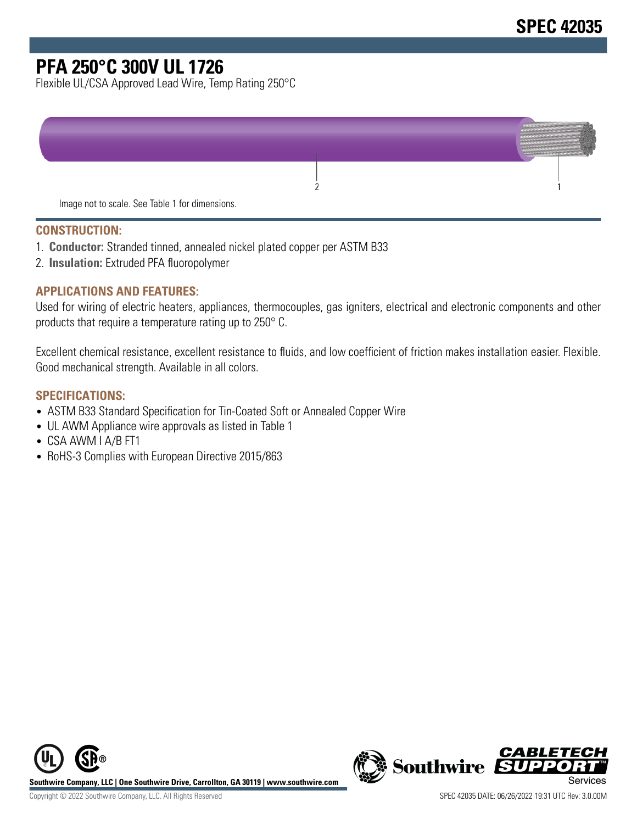# **PFA 250°C 300V UL 1726**

Flexible UL/CSA Approved Lead Wire, Temp Rating 250°C



#### **CONSTRUCTION:**

- 1. **Conductor:** Stranded tinned, annealed nickel plated copper per ASTM B33
- 2. **Insulation:** Extruded PFA fluoropolymer

#### **APPLICATIONS AND FEATURES:**

Used for wiring of electric heaters, appliances, thermocouples, gas igniters, electrical and electronic components and other products that require a temperature rating up to 250° C.

Excellent chemical resistance, excellent resistance to fluids, and low coefficient of friction makes installation easier. Flexible. Good mechanical strength. Available in all colors.

#### **SPECIFICATIONS:**

- ASTM B33 Standard Specification for Tin-Coated Soft or Annealed Copper Wire
- UL AWM Appliance wire approvals as listed in Table 1
- CSA AWM I A/B FT1
- RoHS-3 Complies with European Directive 2015/863